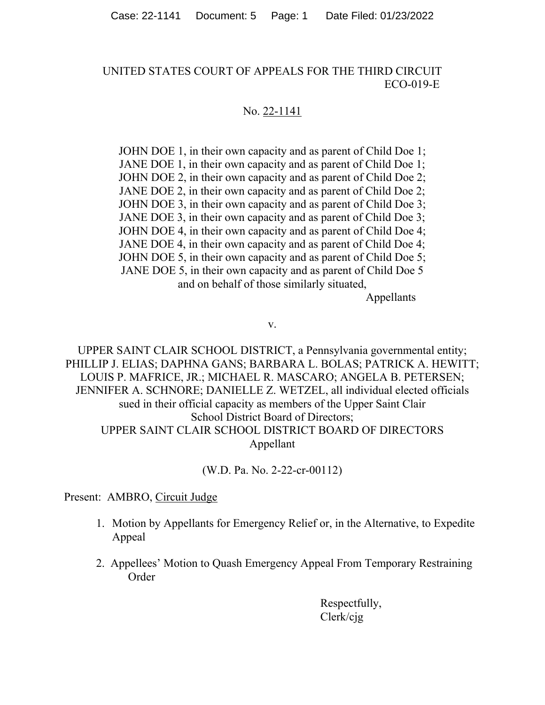## UNITED STATES COURT OF APPEALS FOR THE THIRD CIRCUIT ECO-019-E

## No. 22-1141

JOHN DOE 1, in their own capacity and as parent of Child Doe 1; JANE DOE 1, in their own capacity and as parent of Child Doe 1; JOHN DOE 2, in their own capacity and as parent of Child Doe 2; JANE DOE 2, in their own capacity and as parent of Child Doe 2; JOHN DOE 3, in their own capacity and as parent of Child Doe 3; JANE DOE 3, in their own capacity and as parent of Child Doe 3; JOHN DOE 4, in their own capacity and as parent of Child Doe 4; JANE DOE 4, in their own capacity and as parent of Child Doe 4; JOHN DOE 5, in their own capacity and as parent of Child Doe 5; JANE DOE 5, in their own capacity and as parent of Child Doe 5 and on behalf of those similarly situated,

Appellants

v.

UPPER SAINT CLAIR SCHOOL DISTRICT, a Pennsylvania governmental entity; PHILLIP J. ELIAS; DAPHNA GANS; BARBARA L. BOLAS; PATRICK A. HEWITT; LOUIS P. MAFRICE, JR.; MICHAEL R. MASCARO; ANGELA B. PETERSEN; JENNIFER A. SCHNORE; DANIELLE Z. WETZEL, all individual elected officials sued in their official capacity as members of the Upper Saint Clair School District Board of Directors; UPPER SAINT CLAIR SCHOOL DISTRICT BOARD OF DIRECTORS Appellant

(W.D. Pa. No. 2-22-cr-00112)

Present: AMBRO, Circuit Judge

- 1. Motion by Appellants for Emergency Relief or, in the Alternative, to Expedite Appeal
- 2. Appellees' Motion to Quash Emergency Appeal From Temporary Restraining Order

Respectfully, Clerk/cjg